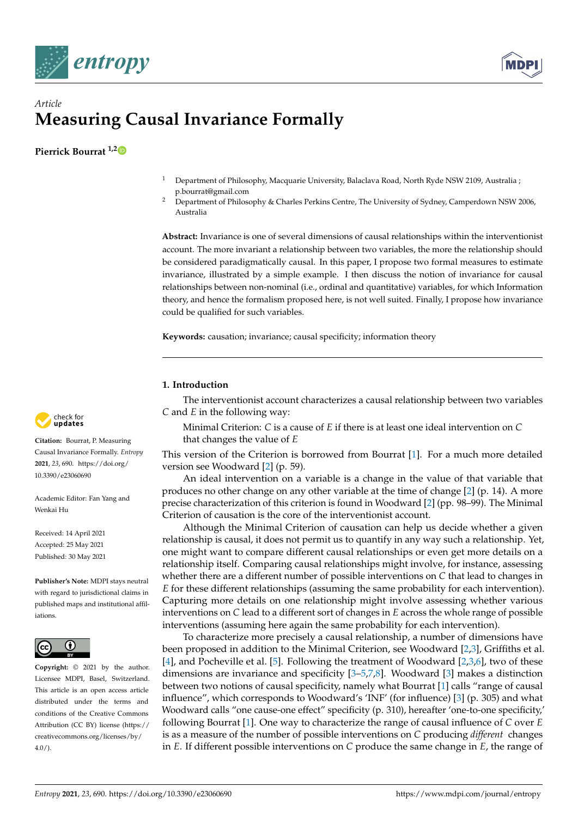



# *Article* **Measuring Causal Invariance Formally**

**Pierrick Bourrat 1,[2](https://orcid.org/0000-0002-4465-6015)**

- <sup>1</sup> Department of Philosophy, Macquarie University, Balaclava Road, North Ryde NSW 2109, Australia ; p.bourrat@gmail.com
- <sup>2</sup> Department of Philosophy & Charles Perkins Centre, The University of Sydney, Camperdown NSW 2006, Australia

**Abstract:** Invariance is one of several dimensions of causal relationships within the interventionist account. The more invariant a relationship between two variables, the more the relationship should be considered paradigmatically causal. In this paper, I propose two formal measures to estimate invariance, illustrated by a simple example. I then discuss the notion of invariance for causal relationships between non-nominal (i.e., ordinal and quantitative) variables, for which Information theory, and hence the formalism proposed here, is not well suited. Finally, I propose how invariance could be qualified for such variables.

**Keywords:** causation; invariance; causal specificity; information theory

## **1. Introduction**

The interventionist account characterizes a causal relationship between two variables *C* and *E* in the following way:

Minimal Criterion: *C* is a cause of *E* if there is at least one ideal intervention on *C* that changes the value of *E*

This version of the Criterion is borrowed from Bourrat [\[1\]](#page-13-0). For a much more detailed version see Woodward [\[2\]](#page-13-1) (p. 59).

An ideal intervention on a variable is a change in the value of that variable that produces no other change on any other variable at the time of change [\[2\]](#page-13-1) (p. 14). A more precise characterization of this criterion is found in Woodward [\[2\]](#page-13-1) (pp. 98–99). The Minimal Criterion of causation is the core of the interventionist account.

Although the Minimal Criterion of causation can help us decide whether a given relationship is causal, it does not permit us to quantify in any way such a relationship. Yet, one might want to compare different causal relationships or even get more details on a relationship itself. Comparing causal relationships might involve, for instance, assessing whether there are a different number of possible interventions on *C* that lead to changes in *E* for these different relationships (assuming the same probability for each intervention). Capturing more details on one relationship might involve assessing whether various interventions on *C* lead to a different sort of changes in *E* across the whole range of possible interventions (assuming here again the same probability for each intervention).

To characterize more precisely a causal relationship, a number of dimensions have been proposed in addition to the Minimal Criterion, see Woodward [\[2,](#page-13-1)[3\]](#page-13-2), Griffiths et al. [\[4\]](#page-13-3), and Pocheville et al. [\[5\]](#page-13-4). Following the treatment of Woodward [\[2](#page-13-1)[,3](#page-13-2)[,6\]](#page-13-5), two of these dimensions are invariance and specificity [\[3–](#page-13-2)[5](#page-13-4)[,7](#page-13-6)[,8\]](#page-13-7). Woodward [\[3\]](#page-13-2) makes a distinction between two notions of causal specificity, namely what Bourrat [\[1\]](#page-13-0) calls "range of causal influence", which corresponds to Woodward's 'INF' (for influence) [\[3\]](#page-13-2) (p. 305) and what Woodward calls "one cause-one effect" specificity (p. 310), hereafter 'one-to-one specificity,' following Bourrat [\[1\]](#page-13-0). One way to characterize the range of causal influence of *C* over *E* is as a measure of the number of possible interventions on *C* producing *different* changes in *E*. If different possible interventions on *C* produce the same change in *E*, the range of



**Citation:** Bourrat, P. Measuring Causal Invariance Formally. *Entropy* **2021**, *23*, 690. [https://doi.org/](https://doi.org/10.3390/e23060690) [10.3390/e23060690](https://doi.org/10.3390/e23060690)

Academic Editor: Fan Yang and Wenkai Hu

Received: 14 April 2021 Accepted: 25 May 2021 Published: 30 May 2021

**Publisher's Note:** MDPI stays neutral with regard to jurisdictional claims in published maps and institutional affiliations.



**Copyright:** © 2021 by the author. Licensee MDPI, Basel, Switzerland. This article is an open access article distributed under the terms and conditions of the Creative Commons Attribution (CC BY) license (https:/[/](https://creativecommons.org/licenses/by/4.0/) [creativecommons.org/licenses/by/](https://creativecommons.org/licenses/by/4.0/) 4.0/).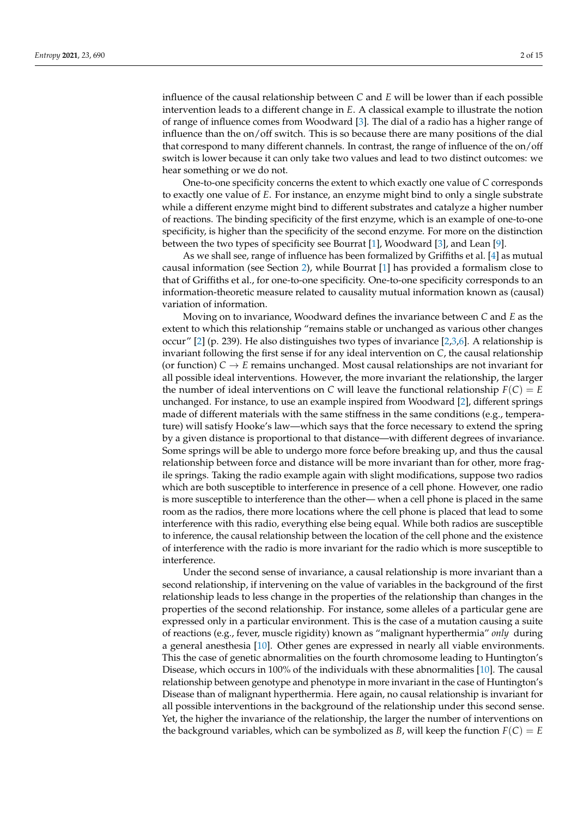influence of the causal relationship between *C* and *E* will be lower than if each possible intervention leads to a different change in *E*. A classical example to illustrate the notion of range of influence comes from Woodward [\[3\]](#page-13-2). The dial of a radio has a higher range of influence than the on/off switch. This is so because there are many positions of the dial that correspond to many different channels. In contrast, the range of influence of the on/off switch is lower because it can only take two values and lead to two distinct outcomes: we hear something or we do not.

One-to-one specificity concerns the extent to which exactly one value of *C* corresponds to exactly one value of *E*. For instance, an enzyme might bind to only a single substrate while a different enzyme might bind to different substrates and catalyze a higher number of reactions. The binding specificity of the first enzyme, which is an example of one-to-one specificity, is higher than the specificity of the second enzyme. For more on the distinction between the two types of specificity see Bourrat [\[1\]](#page-13-0), Woodward [\[3\]](#page-13-2), and Lean [\[9\]](#page-13-8).

As we shall see, range of influence has been formalized by Griffiths et al. [\[4\]](#page-13-3) as mutual causal information (see Section [2\)](#page-2-0), while Bourrat [\[1\]](#page-13-0) has provided a formalism close to that of Griffiths et al., for one-to-one specificity. One-to-one specificity corresponds to an information-theoretic measure related to causality mutual information known as (causal) variation of information.

Moving on to invariance, Woodward defines the invariance between *C* and *E* as the extent to which this relationship "remains stable or unchanged as various other changes occur" [\[2\]](#page-13-1) (p. 239). He also distinguishes two types of invariance [\[2](#page-13-1)[,3](#page-13-2)[,6\]](#page-13-5). A relationship is invariant following the first sense if for any ideal intervention on *C*, the causal relationship (or function)  $C \rightarrow E$  remains unchanged. Most causal relationships are not invariant for all possible ideal interventions. However, the more invariant the relationship, the larger the number of ideal interventions on *C* will leave the functional relationship  $F(C) = E$ unchanged. For instance, to use an example inspired from Woodward [\[2\]](#page-13-1), different springs made of different materials with the same stiffness in the same conditions (e.g., temperature) will satisfy Hooke's law—which says that the force necessary to extend the spring by a given distance is proportional to that distance—with different degrees of invariance. Some springs will be able to undergo more force before breaking up, and thus the causal relationship between force and distance will be more invariant than for other, more fragile springs. Taking the radio example again with slight modifications, suppose two radios which are both susceptible to interference in presence of a cell phone. However, one radio is more susceptible to interference than the other— when a cell phone is placed in the same room as the radios, there more locations where the cell phone is placed that lead to some interference with this radio, everything else being equal. While both radios are susceptible to inference, the causal relationship between the location of the cell phone and the existence of interference with the radio is more invariant for the radio which is more susceptible to interference.

Under the second sense of invariance, a causal relationship is more invariant than a second relationship, if intervening on the value of variables in the background of the first relationship leads to less change in the properties of the relationship than changes in the properties of the second relationship. For instance, some alleles of a particular gene are expressed only in a particular environment. This is the case of a mutation causing a suite of reactions (e.g., fever, muscle rigidity) known as "malignant hyperthermia" *only* during a general anesthesia [\[10\]](#page-13-9). Other genes are expressed in nearly all viable environments. This the case of genetic abnormalities on the fourth chromosome leading to Huntington's Disease, which occurs in 100% of the individuals with these abnormalities [\[10\]](#page-13-9). The causal relationship between genotype and phenotype in more invariant in the case of Huntington's Disease than of malignant hyperthermia. Here again, no causal relationship is invariant for all possible interventions in the background of the relationship under this second sense. Yet, the higher the invariance of the relationship, the larger the number of interventions on the background variables, which can be symbolized as *B*, will keep the function  $F(C) = E$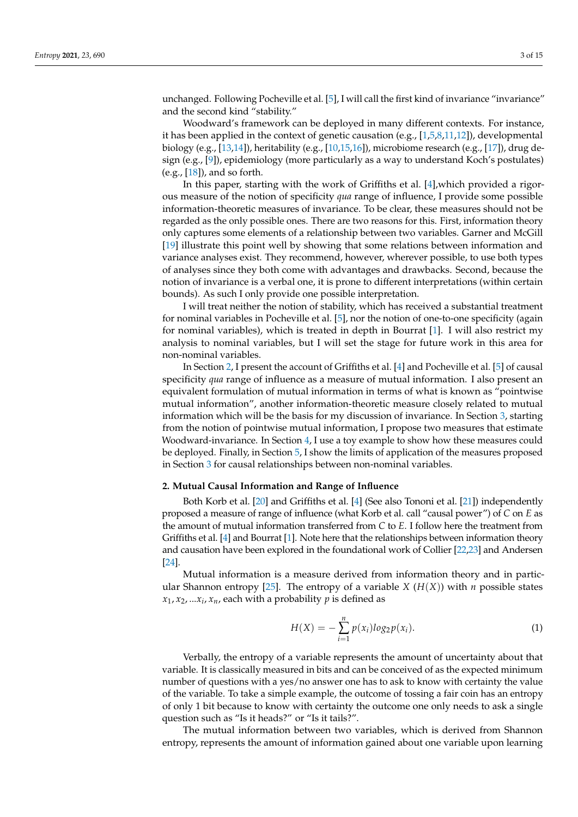unchanged. Following Pocheville et al. [\[5\]](#page-13-4), I will call the first kind of invariance "invariance" and the second kind "stability."

Woodward's framework can be deployed in many different contexts. For instance, it has been applied in the context of genetic causation (e.g.,  $[1,5,8,11,12]$  $[1,5,8,11,12]$  $[1,5,8,11,12]$  $[1,5,8,11,12]$  $[1,5,8,11,12]$ ), developmental biology (e.g., [\[13](#page-14-0)[,14\]](#page-14-1)), heritability (e.g., [\[10,](#page-13-9)[15,](#page-14-2)[16\]](#page-14-3)), microbiome research (e.g., [\[17\]](#page-14-4)), drug design (e.g., [\[9\]](#page-13-8)), epidemiology (more particularly as a way to understand Koch's postulates) (e.g., [\[18\]](#page-14-5)), and so forth.

In this paper, starting with the work of Griffiths et al. [\[4\]](#page-13-3),which provided a rigorous measure of the notion of specificity *qua* range of influence, I provide some possible information-theoretic measures of invariance. To be clear, these measures should not be regarded as the only possible ones. There are two reasons for this. First, information theory only captures some elements of a relationship between two variables. Garner and McGill [\[19\]](#page-14-6) illustrate this point well by showing that some relations between information and variance analyses exist. They recommend, however, wherever possible, to use both types of analyses since they both come with advantages and drawbacks. Second, because the notion of invariance is a verbal one, it is prone to different interpretations (within certain bounds). As such I only provide one possible interpretation.

I will treat neither the notion of stability, which has received a substantial treatment for nominal variables in Pocheville et al. [\[5\]](#page-13-4), nor the notion of one-to-one specificity (again for nominal variables), which is treated in depth in Bourrat [\[1\]](#page-13-0). I will also restrict my analysis to nominal variables, but I will set the stage for future work in this area for non-nominal variables.

In Section [2,](#page-2-0) I present the account of Griffiths et al. [\[4\]](#page-13-3) and Pocheville et al. [\[5\]](#page-13-4) of causal specificity *qua* range of influence as a measure of mutual information. I also present an equivalent formulation of mutual information in terms of what is known as "pointwise mutual information", another information-theoretic measure closely related to mutual information which will be the basis for my discussion of invariance. In Section [3,](#page-4-0) starting from the notion of pointwise mutual information, I propose two measures that estimate Woodward-invariance. In Section [4,](#page-8-0) I use a toy example to show how these measures could be deployed. Finally, in Section [5,](#page-10-0) I show the limits of application of the measures proposed in Section [3](#page-4-0) for causal relationships between non-nominal variables.

#### <span id="page-2-0"></span>**2. Mutual Causal Information and Range of Influence**

Both Korb et al. [\[20\]](#page-14-7) and Griffiths et al. [\[4\]](#page-13-3) (See also Tononi et al. [\[21\]](#page-14-8)) independently proposed a measure of range of influence (what Korb et al. call "causal power") of *C* on *E* as the amount of mutual information transferred from *C* to *E*. I follow here the treatment from Griffiths et al. [\[4\]](#page-13-3) and Bourrat [\[1\]](#page-13-0). Note here that the relationships between information theory and causation have been explored in the foundational work of Collier [\[22,](#page-14-9)[23\]](#page-14-10) and Andersen [\[24\]](#page-14-11).

Mutual information is a measure derived from information theory and in partic-ular Shannon entropy [\[25\]](#page-14-12). The entropy of a variable *X* ( $H(X)$ ) with *n* possible states  $x_1, x_2, ... x_i, x_n$ , each with a probability  $p$  is defined as

$$
H(X) = -\sum_{i=1}^{n} p(x_i) \log_2 p(x_i).
$$
 (1)

Verbally, the entropy of a variable represents the amount of uncertainty about that variable. It is classically measured in bits and can be conceived of as the expected minimum number of questions with a yes/no answer one has to ask to know with certainty the value of the variable. To take a simple example, the outcome of tossing a fair coin has an entropy of only 1 bit because to know with certainty the outcome one only needs to ask a single question such as "Is it heads?" or "Is it tails?".

The mutual information between two variables, which is derived from Shannon entropy, represents the amount of information gained about one variable upon learning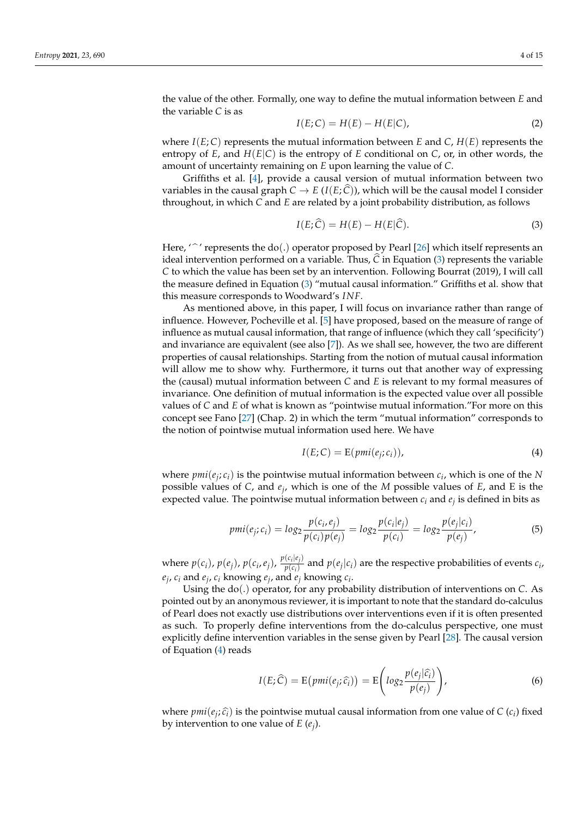the value of the other. Formally, one way to define the mutual information between *E* and the variable *C* is as

$$
I(E;C) = H(E) - H(E|C),
$$
\n(2)

where  $I(E; C)$  represents the mutual information between *E* and *C*,  $H(E)$  represents the entropy of  $E$ , and  $H(E|C)$  is the entropy of  $E$  conditional on  $C$ , or, in other words, the amount of uncertainty remaining on *E* upon learning the value of *C*.

Griffiths et al. [\[4\]](#page-13-3), provide a causal version of mutual information between two variables in the causal graph  $C \to E(I(E; C))$ , which will be the causal model I consider throughout, in which *C* and *E* are related by a joint probability distribution, as follows

<span id="page-3-0"></span>
$$
I(E; \hat{C}) = H(E) - H(E|\hat{C}).
$$
\n(3)

Here, ' $\hat{\ }$ ' represents the do(.) operator proposed by Pearl [\[26\]](#page-14-13) which itself represents an ideal intervention performed on a variable. Thus,  $\hat{C}$  in Equation [\(3\)](#page-3-0) represents the variable *C* to which the value has been set by an intervention. Following Bourrat (2019), I will call the measure defined in Equation [\(3\)](#page-3-0) "mutual causal information." Griffiths et al. show that this measure corresponds to Woodward's *INF*.

As mentioned above, in this paper, I will focus on invariance rather than range of influence. However, Pocheville et al. [\[5\]](#page-13-4) have proposed, based on the measure of range of influence as mutual causal information, that range of influence (which they call 'specificity') and invariance are equivalent (see also [\[7\]](#page-13-6)). As we shall see, however, the two are different properties of causal relationships. Starting from the notion of mutual causal information will allow me to show why. Furthermore, it turns out that another way of expressing the (causal) mutual information between *C* and *E* is relevant to my formal measures of invariance. One definition of mutual information is the expected value over all possible values of *C* and *E* of what is known as "pointwise mutual information."For more on this concept see Fano [\[27\]](#page-14-14) (Chap. 2) in which the term "mutual information" corresponds to the notion of pointwise mutual information used here. We have

<span id="page-3-1"></span>
$$
I(E;C) = E(pmi(e_j; c_i)),
$$
\n(4)

where  $pmi(e_j; c_i)$  is the pointwise mutual information between  $c_i$ , which is one of the *N* possible values of *C*, and *e<sup>j</sup>* , which is one of the *M* possible values of *E*, and E is the expected value. The pointwise mutual information between *c<sup>i</sup>* and *e<sup>j</sup>* is defined in bits as

$$
pmi(e_j; c_i) = \log_2 \frac{p(c_i, e_j)}{p(c_i)p(e_j)} = \log_2 \frac{p(c_i|e_j)}{p(c_i)} = \log_2 \frac{p(e_j|c_i)}{p(e_j)},
$$
\n(5)

where  $p(c_i)$ ,  $p(e_j)$ ,  $p(c_i, e_j)$ ,  $\frac{p(c_i|e_j)}{p(c_i)}$  $p(c_i|c_j)$  and  $p(e_j|c_i)$  are the respective probabilities of events  $c_i$ ,  $e_j$ ,  $c_i$  and  $e_j$ ,  $c_i$  knowing  $e_j$ , and  $e_j$  knowing  $c_i$ .

Using the do(.) operator, for any probability distribution of interventions on *C*. As pointed out by an anonymous reviewer, it is important to note that the standard do-calculus of Pearl does not exactly use distributions over interventions even if it is often presented as such. To properly define interventions from the do-calculus perspective, one must explicitly define intervention variables in the sense given by Pearl [\[28\]](#page-14-15). The causal version of Equation [\(4\)](#page-3-1) reads

<span id="page-3-2"></span>
$$
I(E; \widehat{C}) = E(pmi(e_j; \widehat{c_i})) = E\left(log_2 \frac{p(e_j|\widehat{c_i})}{p(e_j)}\right),
$$
\n(6)

where  $pmi(e_j; \hat{c}_i)$  is the pointwise mutual causal information from one value of *C* (*c<sub>i</sub>*) fixed<br>by intervention to one value of *E* (*c*) by intervention to one value of *E* (*e<sup>j</sup>* ).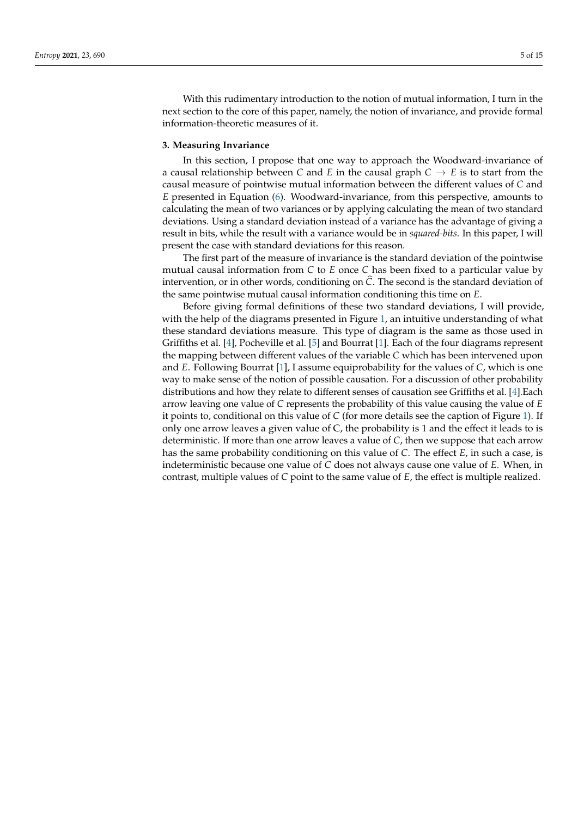With this rudimentary introduction to the notion of mutual information, I turn in the next section to the core of this paper, namely, the notion of invariance, and provide formal information-theoretic measures of it.

### <span id="page-4-0"></span>**3. Measuring Invariance**

In this section, I propose that one way to approach the Woodward-invariance of a causal relationship between *C* and *E* in the causal graph  $C \rightarrow E$  is to start from the causal measure of pointwise mutual information between the different values of *C* and *E* presented in Equation [\(6\)](#page-3-2). Woodward-invariance, from this perspective, amounts to calculating the mean of two variances or by applying calculating the mean of two standard deviations. Using a standard deviation instead of a variance has the advantage of giving a result in bits, while the result with a variance would be in *squared-bits*. In this paper, I will present the case with standard deviations for this reason.

The first part of the measure of invariance is the standard deviation of the pointwise mutual causal information from *C* to *E* once *C* has been fixed to a particular value by intervention, or in other words, conditioning on  $\hat{C}$ . The second is the standard deviation of the same pointwise mutual causal information conditioning this time on *E*.

Before giving formal definitions of these two standard deviations, I will provide, with the help of the diagrams presented in Figure [1,](#page-5-0) an intuitive understanding of what these standard deviations measure. This type of diagram is the same as those used in Griffiths et al. [\[4\]](#page-13-3), Pocheville et al. [\[5\]](#page-13-4) and Bourrat [\[1\]](#page-13-0). Each of the four diagrams represent the mapping between different values of the variable *C* which has been intervened upon and *E*. Following Bourrat [\[1\]](#page-13-0), I assume equiprobability for the values of *C*, which is one way to make sense of the notion of possible causation. For a discussion of other probability distributions and how they relate to different senses of causation see Griffiths et al. [\[4\]](#page-13-3).Each arrow leaving one value of *C* represents the probability of this value causing the value of *E* it points to, conditional on this value of *C* (for more details see the caption of Figure [1\)](#page-5-0). If only one arrow leaves a given value of C, the probability is 1 and the effect it leads to is deterministic. If more than one arrow leaves a value of *C*, then we suppose that each arrow has the same probability conditioning on this value of *C*. The effect *E*, in such a case, is indeterministic because one value of *C* does not always cause one value of *E*. When, in contrast, multiple values of *C* point to the same value of *E*, the effect is multiple realized.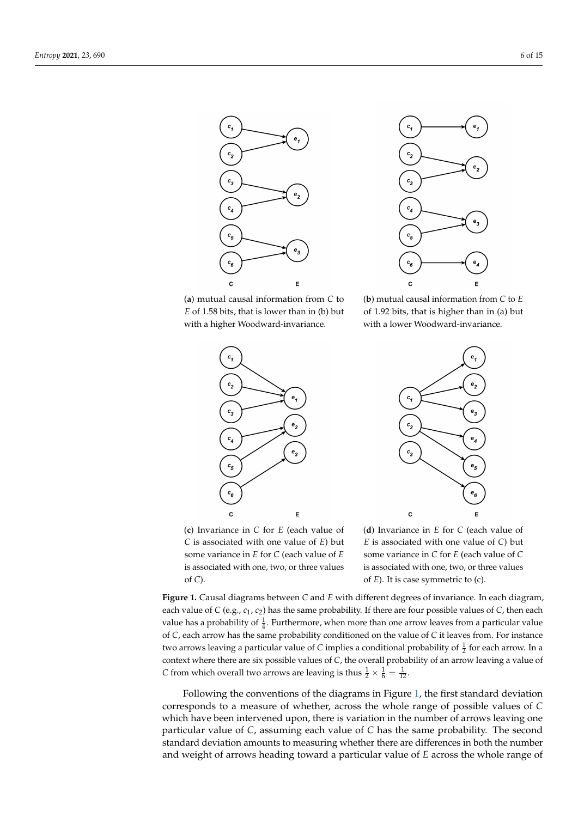<span id="page-5-0"></span>



(**a**) mutual causal information from *C* to *E* of 1.58 bits, that is lower than in (b) but with a higher Woodward-invariance.







(**c**) Invariance in *C* for *E* (each value of *C* is associated with one value of *E*) but some variance in *E* for *C* (each value of *E* is associated with one, two, or three values of *C*).

(**d**) Invariance in *E* for *C* (each value of *E* is associated with one value of *C*) but some variance in *C* for *E* (each value of *C* is associated with one, two, or three values of *E*). It is case symmetric to (c).

**Figure 1.** Causal diagrams between *C* and *E* with different degrees of invariance. In each diagram, each value of *C* (e.g., *c*<sup>1</sup> , *c*2) has the same probability. If there are four possible values of *C*, then each value has a probability of  $\frac{1}{4}$ . Furthermore, when more than one arrow leaves from a particular value of *C*, each arrow has the same probability conditioned on the value of *C* it leaves from. For instance two arrows leaving a particular value of C implies a conditional probability of  $\frac{1}{2}$  for each arrow. In a context where there are six possible values of *C*, the overall probability of an arrow leaving a value of *C* from which overall two arrows are leaving is thus  $\frac{1}{2} \times \frac{1}{6} = \frac{1}{12}$ .

Following the conventions of the diagrams in Figure [1,](#page-5-0) the first standard deviation corresponds to a measure of whether, across the whole range of possible values of *C* which have been intervened upon, there is variation in the number of arrows leaving one particular value of *C*, assuming each value of *C* has the same probability. The second standard deviation amounts to measuring whether there are differences in both the number and weight of arrows heading toward a particular value of *E* across the whole range of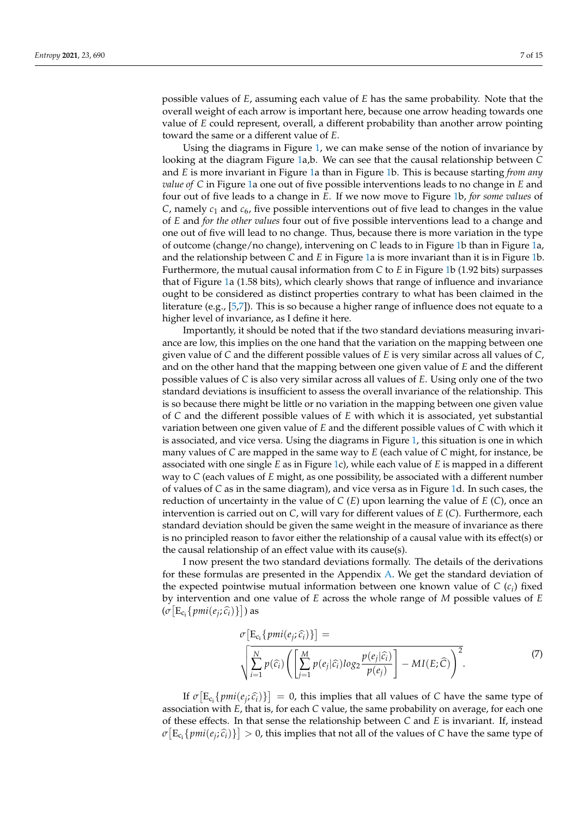possible values of *E*, assuming each value of *E* has the same probability. Note that the overall weight of each arrow is important here, because one arrow heading towards one value of *E* could represent, overall, a different probability than another arrow pointing toward the same or a different value of *E*.

Using the diagrams in Figure [1,](#page-5-0) we can make sense of the notion of invariance by looking at the diagram Figure [1a](#page-5-0),b. We can see that the causal relationship between *C* and *E* is more invariant in Figure [1a](#page-5-0) than in Figure [1b](#page-5-0). This is because starting *from any value of C* in Figure [1a](#page-5-0) one out of five possible interventions leads to no change in *E* and four out of five leads to a change in *E*. If we now move to Figure [1b](#page-5-0), *for some values* of *C*, namely *c*<sup>1</sup> and *c*6, five possible interventions out of five lead to changes in the value of *E* and *for the other values* four out of five possible interventions lead to a change and one out of five will lead to no change. Thus, because there is more variation in the type of outcome (change/no change), intervening on *C* leads to in Figure [1b](#page-5-0) than in Figure [1a](#page-5-0), and the relationship between *C* and *E* in Figure [1a](#page-5-0) is more invariant than it is in Figure [1b](#page-5-0). Furthermore, the mutual causal information from *C* to *E* in Figure [1b](#page-5-0) (1.92 bits) surpasses that of Figure [1a](#page-5-0) (1.58 bits), which clearly shows that range of influence and invariance ought to be considered as distinct properties contrary to what has been claimed in the literature (e.g., [\[5,](#page-13-4)[7\]](#page-13-6)). This is so because a higher range of influence does not equate to a higher level of invariance, as I define it here.

Importantly, it should be noted that if the two standard deviations measuring invariance are low, this implies on the one hand that the variation on the mapping between one given value of *C* and the different possible values of *E* is very similar across all values of *C*, and on the other hand that the mapping between one given value of *E* and the different possible values of *C* is also very similar across all values of *E*. Using only one of the two standard deviations is insufficient to assess the overall invariance of the relationship. This is so because there might be little or no variation in the mapping between one given value of *C* and the different possible values of *E* with which it is associated, yet substantial variation between one given value of *E* and the different possible values of *C* with which it is associated, and vice versa. Using the diagrams in Figure [1,](#page-5-0) this situation is one in which many values of *C* are mapped in the same way to *E* (each value of *C* might, for instance, be associated with one single *E* as in Figure [1c](#page-5-0)), while each value of *E* is mapped in a different way to *C* (each values of *E* might, as one possibility, be associated with a different number of values of *C* as in the same diagram), and vice versa as in Figure [1d](#page-5-0). In such cases, the reduction of uncertainty in the value of *C* (*E*) upon learning the value of *E* (*C*), once an intervention is carried out on *C*, will vary for different values of *E* (*C*). Furthermore, each standard deviation should be given the same weight in the measure of invariance as there is no principled reason to favor either the relationship of a causal value with its effect(s) or the causal relationship of an effect value with its cause(s).

I now present the two standard deviations formally. The details of the derivations for these formulas are presented in the Appendix [A.](#page-12-0) We get the standard deviation of the expected pointwise mutual information between one known value of  $C$   $(c_i)$  fixed by intervention and one value of *E* across the whole range of *M* possible values of *E*  $(\sigma \left[ \mathbb{E}_{\mathsf{c}_i} \{ \textit{pmi}(e_j; \widehat{c}_i) \} \right])$  as

$$
\sigma \left[ E_{c_i} \{ pmi(e_j; \hat{c}_i) \} \right] =
$$
\n
$$
\sqrt{\sum_{i=1}^{N} p(\hat{c}_i)} \left( \left[ \sum_{j=1}^{M} p(e_j | \hat{c}_i) \log_2 \frac{p(e_j | \hat{c}_i)}{p(e_j)} \right] - MI(E; \hat{C}) \right)^2.
$$
\n(7)

<span id="page-6-0"></span>If  $\sigma[E_{c_i} \{pmi\}\}$  = 0, this implies that all values of *C* have the same type of initian with *F* that is for each *C* welve the same probability on average for each one association with *E*, that is, for each *C* value, the same probability on average, for each one of these effects. In that sense the relationship between *C* and *E* is invariant. If, instead  $\sigma\left[E_{c_i}\{pmi(e_j;\widehat{c}_i)\}\right] > 0$ , this implies that not all of the values of *C* have the same type of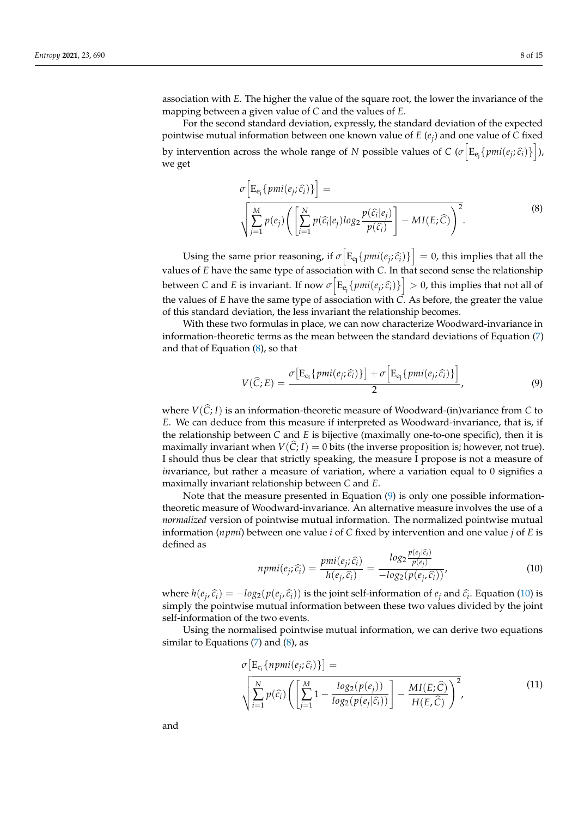association with *E*. The higher the value of the square root, the lower the invariance of the mapping between a given value of *C* and the values of *E*.

For the second standard deviation, expressly, the standard deviation of the expected pointwise mutual information between one known value of *E* (*e<sup>j</sup>* ) and one value of *C* fixed by intervention across the whole range of *N* possible values of *C* ( $\sigma$   $\left[$   $\mathbb{E}_{e_j}$  { $pmi$ ( $e_j$ ;  $\hat{c}_i$ )} $\right]$ ), we get

$$
\sigma \left[ E_{e_j} \{ pmi(e_j; \hat{c}_i) \} \right] =
$$
\n
$$
\sqrt{\sum_{j=1}^{M} p(e_j) \left( \left[ \sum_{i=1}^{N} p(\hat{c}_i | e_j) \log_2 \frac{p(\hat{c}_i | e_j)}{p(\hat{c}_i)} \right] - MI(E; \hat{C}) \right)^2}.
$$
\n(8)

<span id="page-7-0"></span>Using the same prior reasoning, if  $\sigma \left[ E_{e_j} \{ \text{pmi}(e_j; \hat{c}_i) \} \right] = 0$ , this implies that all the values of *E* have the same type of association with *C*. In that second sense the relationship between *C* and *E* is invariant. If now  $\sigma \left[ E_{e_j} \{ \rho m i(e_j; \hat{c}_i) \} \right] > 0$ , this implies that not all of the values of *E* have the same type of association with *C*. As before, the greater the value of this standard deviation, the less invariant the relationship becomes.

With these two formulas in place, we can now characterize Woodward-invariance in information-theoretic terms as the mean between the standard deviations of Equation [\(7\)](#page-6-0) and that of Equation [\(8\)](#page-7-0), so that

<span id="page-7-1"></span>
$$
V(\widehat{C};E) = \frac{\sigma \big[E_{c_i} \{pmi(e_j;\widehat{c_i})\}\big] + \sigma \Big[E_{e_j} \{pmi(e_j;\widehat{c_i})\}\Big]}{2},\tag{9}
$$

where  $V(\hat{C}; I)$  is an information-theoretic measure of Woodward-(in)variance from C to *E*. We can deduce from this measure if interpreted as Woodward-invariance, that is, if the relationship between *C* and *E* is bijective (maximally one-to-one specific), then it is maximally invariant when  $V(C; I) = 0$  bits (the inverse proposition is; however, not true). I should thus be clear that strictly speaking, the measure I propose is not a measure of *invariance, but rather a measure of variation, where a variation equal to 0 signifies a* maximally invariant relationship between *C* and *E*.

Note that the measure presented in Equation [\(9\)](#page-7-1) is only one possible informationtheoretic measure of Woodward-invariance. An alternative measure involves the use of a *normalized* version of pointwise mutual information. The normalized pointwise mutual information (*npmi*) between one value *i* of *C* fixed by intervention and one value *j* of *E* is defined as

<span id="page-7-2"></span>
$$
npmi(e_j; \widehat{c_i}) = \frac{pmi(e_j; \widehat{c_i})}{h(e_j, \widehat{c_i})} = \frac{log_2 \frac{p(e_j|\widehat{c_i})}{p(e_j)}}{-log_2(p(e_j, \widehat{c_i}))},
$$
(10)

where  $h(e_j, \hat{c}_i) = -log_2(p(e_j, \hat{c}_i))$  is the joint self-information of  $e_j$  and  $\hat{c}_i$ . Equation [\(10\)](#page-7-2) is simply the pointuise mutual information between these two values divided by the joint simply the pointwise mutual information between these two values divided by the joint self-information of the two events.

Using the normalised pointwise mutual information, we can derive two equations similar to Equations  $(7)$  and  $(8)$ , as

$$
\sigma\left[E_{c_i}\{npmi(e_j;\hat{c}_i)\}\right] = \sqrt{\sum_{i=1}^{N}p(\hat{c}_i)\left(\left[\sum_{j=1}^{M}1-\frac{\log_2(p(e_j))}{\log_2(p(e_j|\hat{c}_i))}\right]-\frac{MI(E;\hat{C})}{H(E,\hat{C})}\right)^2},\tag{11}
$$

<span id="page-7-3"></span>and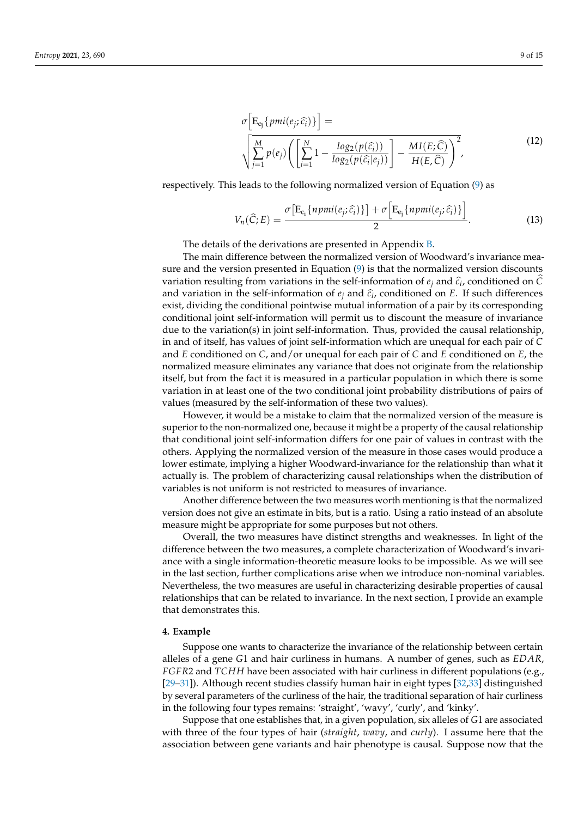$$
\sigma\Big[E_{e_j}\lbrace pmi(e_j;\hat{c}_i)\rbrace\Big] = \sqrt{\sum_{j=1}^{M} p(e_j) \left(\left[\sum_{i=1}^{N} 1 - \frac{\log_2(p(\hat{c}_i))}{\log_2(p(\hat{c}_i|e_j))}\right] - \frac{MI(E;\hat{C})}{H(E,\hat{C})}\right)^2},
$$
\n(12)

<span id="page-8-2"></span>respectively. This leads to the following normalized version of Equation [\(9\)](#page-7-1) as

<span id="page-8-1"></span>
$$
V_n(\widehat{C};E) = \frac{\sigma \big[E_{c_i}\{npmi(e_j;\widehat{c_i})\}\big] + \sigma \big[E_{e_j}\{npmi(e_j;\widehat{c_i})\}\big]}{2}.
$$
 (13)

The details of the derivations are presented in Appendix [B.](#page-13-12)

The main difference between the normalized version of Woodward's invariance measure and the version presented in Equation [\(9\)](#page-7-1) is that the normalized version discounts variation resulting from variations in the self-information of  $e_j$  and  $\hat{c}_i$ , conditioned on *C*<br>and variation in the self-information of  $e_k$  and  $\hat{c}_k$  conditioned on *F*. If such differences and variation in the self-information of  $e_j$  and  $\hat{c}_i$ , conditioned on *E*. If such differences exist, dividing the conditional pointwise mutual information of a pair by its corresponding conditional joint self-information will permit us to discount the measure of invariance due to the variation(s) in joint self-information. Thus, provided the causal relationship, in and of itself, has values of joint self-information which are unequal for each pair of *C* and *E* conditioned on *C*, and/or unequal for each pair of *C* and *E* conditioned on *E*, the normalized measure eliminates any variance that does not originate from the relationship itself, but from the fact it is measured in a particular population in which there is some variation in at least one of the two conditional joint probability distributions of pairs of values (measured by the self-information of these two values).

However, it would be a mistake to claim that the normalized version of the measure is superior to the non-normalized one, because it might be a property of the causal relationship that conditional joint self-information differs for one pair of values in contrast with the others. Applying the normalized version of the measure in those cases would produce a lower estimate, implying a higher Woodward-invariance for the relationship than what it actually is. The problem of characterizing causal relationships when the distribution of variables is not uniform is not restricted to measures of invariance.

Another difference between the two measures worth mentioning is that the normalized version does not give an estimate in bits, but is a ratio. Using a ratio instead of an absolute measure might be appropriate for some purposes but not others.

Overall, the two measures have distinct strengths and weaknesses. In light of the difference between the two measures, a complete characterization of Woodward's invariance with a single information-theoretic measure looks to be impossible. As we will see in the last section, further complications arise when we introduce non-nominal variables. Nevertheless, the two measures are useful in characterizing desirable properties of causal relationships that can be related to invariance. In the next section, I provide an example that demonstrates this.

## <span id="page-8-0"></span>**4. Example**

Suppose one wants to characterize the invariance of the relationship between certain alleles of a gene *G*1 and hair curliness in humans. A number of genes, such as *EDAR*, *FGFR*2 and *TCHH* have been associated with hair curliness in different populations (e.g., [\[29–](#page-14-16)[31\]](#page-14-17)). Although recent studies classify human hair in eight types [\[32](#page-14-18)[,33\]](#page-14-19) distinguished by several parameters of the curliness of the hair, the traditional separation of hair curliness in the following four types remains: 'straight', 'wavy', 'curly', and 'kinky'.

Suppose that one establishes that, in a given population, six alleles of *G*1 are associated with three of the four types of hair (*straight*, *wavy*, and *curly*). I assume here that the association between gene variants and hair phenotype is causal. Suppose now that the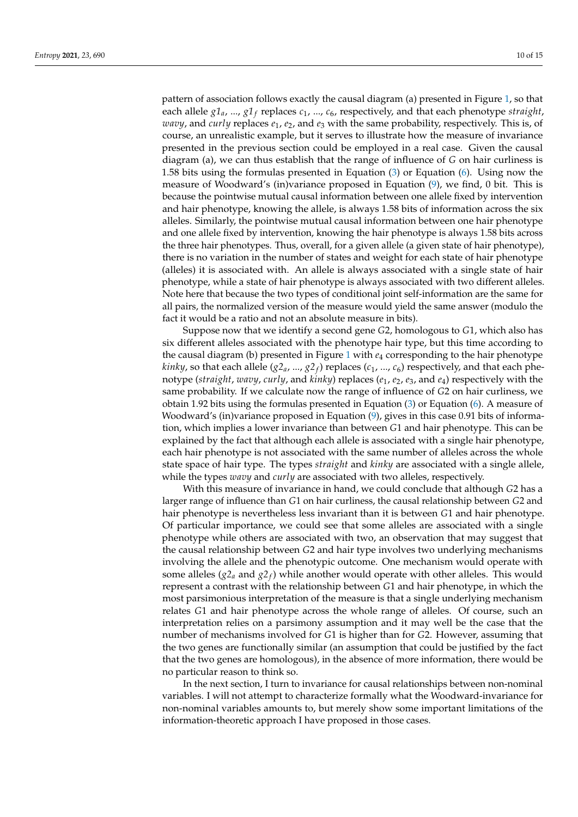pattern of association follows exactly the causal diagram (a) presented in Figure [1,](#page-5-0) so that each allele *g1a*, ..., *g1<sup>f</sup>* replaces *c*1, ..., *c*6, respectively, and that each phenotype *straight*, *wavy*, and *curly* replaces *e*1, *e*2, and *e*<sup>3</sup> with the same probability, respectively. This is, of course, an unrealistic example, but it serves to illustrate how the measure of invariance presented in the previous section could be employed in a real case. Given the causal diagram (a), we can thus establish that the range of influence of *G* on hair curliness is 1.58 bits using the formulas presented in Equation [\(3\)](#page-3-0) or Equation [\(6\)](#page-3-2). Using now the measure of Woodward's (in)variance proposed in Equation [\(9\)](#page-7-1), we find, 0 bit. This is because the pointwise mutual causal information between one allele fixed by intervention and hair phenotype, knowing the allele, is always 1.58 bits of information across the six alleles. Similarly, the pointwise mutual causal information between one hair phenotype and one allele fixed by intervention, knowing the hair phenotype is always 1.58 bits across the three hair phenotypes. Thus, overall, for a given allele (a given state of hair phenotype), there is no variation in the number of states and weight for each state of hair phenotype (alleles) it is associated with. An allele is always associated with a single state of hair phenotype, while a state of hair phenotype is always associated with two different alleles. Note here that because the two types of conditional joint self-information are the same for all pairs, the normalized version of the measure would yield the same answer (modulo the fact it would be a ratio and not an absolute measure in bits).

Suppose now that we identify a second gene *G*2, homologous to *G*1, which also has six different alleles associated with the phenotype hair type, but this time according to the causal diagram (b) presented in Figure [1](#page-5-0) with *e*<sup>4</sup> corresponding to the hair phenotype *kinky,* so that each allele  $(g2_a, ..., g2_f)$  replaces ( $c_1, ..., c_6$ ) respectively, and that each phenotype (*straight*, *wavy*, *curly*, and *kinky*) replaces (*e*1, *e*2, *e*3, and *e*4) respectively with the same probability. If we calculate now the range of influence of *G*2 on hair curliness, we obtain 1.92 bits using the formulas presented in Equation [\(3\)](#page-3-0) or Equation [\(6\)](#page-3-2). A measure of Woodward's (in)variance proposed in Equation [\(9\)](#page-7-1), gives in this case 0.91 bits of information, which implies a lower invariance than between *G*1 and hair phenotype. This can be explained by the fact that although each allele is associated with a single hair phenotype, each hair phenotype is not associated with the same number of alleles across the whole state space of hair type. The types *straight* and *kinky* are associated with a single allele, while the types *wavy* and *curly* are associated with two alleles, respectively.

With this measure of invariance in hand, we could conclude that although *G*2 has a larger range of influence than *G*1 on hair curliness, the causal relationship between *G*2 and hair phenotype is nevertheless less invariant than it is between *G*1 and hair phenotype. Of particular importance, we could see that some alleles are associated with a single phenotype while others are associated with two, an observation that may suggest that the causal relationship between *G*2 and hair type involves two underlying mechanisms involving the allele and the phenotypic outcome. One mechanism would operate with some alleles (*g2<sup>a</sup>* and *g2<sup>f</sup>* ) while another would operate with other alleles. This would represent a contrast with the relationship between *G*1 and hair phenotype, in which the most parsimonious interpretation of the measure is that a single underlying mechanism relates *G*1 and hair phenotype across the whole range of alleles. Of course, such an interpretation relies on a parsimony assumption and it may well be the case that the number of mechanisms involved for *G*1 is higher than for *G*2. However, assuming that the two genes are functionally similar (an assumption that could be justified by the fact that the two genes are homologous), in the absence of more information, there would be no particular reason to think so.

In the next section, I turn to invariance for causal relationships between non-nominal variables. I will not attempt to characterize formally what the Woodward-invariance for non-nominal variables amounts to, but merely show some important limitations of the information-theoretic approach I have proposed in those cases.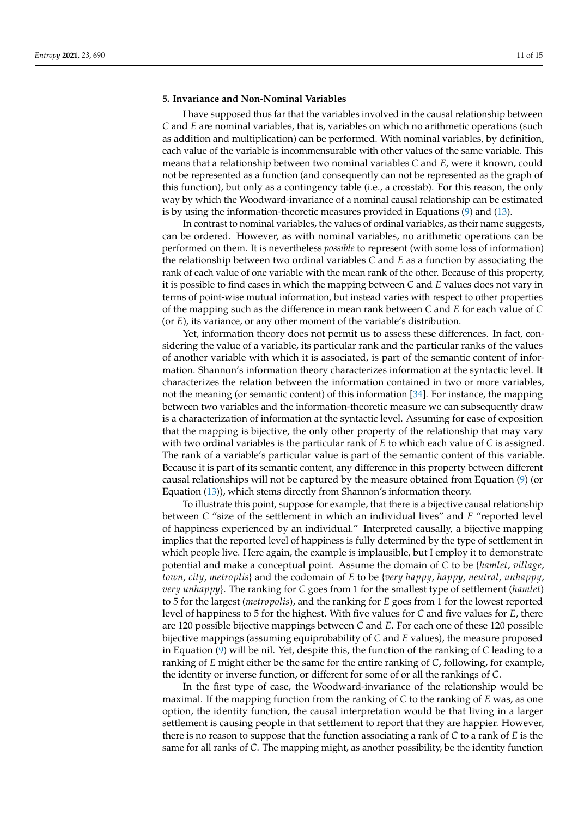## <span id="page-10-0"></span>**5. Invariance and Non-Nominal Variables**

I have supposed thus far that the variables involved in the causal relationship between *C* and *E* are nominal variables, that is, variables on which no arithmetic operations (such as addition and multiplication) can be performed. With nominal variables, by definition, each value of the variable is incommensurable with other values of the same variable. This means that a relationship between two nominal variables *C* and *E*, were it known, could not be represented as a function (and consequently can not be represented as the graph of this function), but only as a contingency table (i.e., a crosstab). For this reason, the only way by which the Woodward-invariance of a nominal causal relationship can be estimated is by using the information-theoretic measures provided in Equations [\(9\)](#page-7-1) and [\(13\)](#page-8-1).

In contrast to nominal variables, the values of ordinal variables, as their name suggests, can be ordered. However, as with nominal variables, no arithmetic operations can be performed on them. It is nevertheless *possible* to represent (with some loss of information) the relationship between two ordinal variables *C* and *E* as a function by associating the rank of each value of one variable with the mean rank of the other. Because of this property, it is possible to find cases in which the mapping between *C* and *E* values does not vary in terms of point-wise mutual information, but instead varies with respect to other properties of the mapping such as the difference in mean rank between *C* and *E* for each value of *C* (or *E*), its variance, or any other moment of the variable's distribution.

Yet, information theory does not permit us to assess these differences. In fact, considering the value of a variable, its particular rank and the particular ranks of the values of another variable with which it is associated, is part of the semantic content of information. Shannon's information theory characterizes information at the syntactic level. It characterizes the relation between the information contained in two or more variables, not the meaning (or semantic content) of this information [\[34\]](#page-14-20). For instance, the mapping between two variables and the information-theoretic measure we can subsequently draw is a characterization of information at the syntactic level. Assuming for ease of exposition that the mapping is bijective, the only other property of the relationship that may vary with two ordinal variables is the particular rank of *E* to which each value of *C* is assigned. The rank of a variable's particular value is part of the semantic content of this variable. Because it is part of its semantic content, any difference in this property between different causal relationships will not be captured by the measure obtained from Equation [\(9\)](#page-7-1) (or Equation [\(13\)](#page-8-1)), which stems directly from Shannon's information theory.

To illustrate this point, suppose for example, that there is a bijective causal relationship between *C* "size of the settlement in which an individual lives" and *E* "reported level of happiness experienced by an individual." Interpreted causally, a bijective mapping implies that the reported level of happiness is fully determined by the type of settlement in which people live. Here again, the example is implausible, but I employ it to demonstrate potential and make a conceptual point. Assume the domain of *C* to be {*hamlet*, *village*, *town*, *city*, *metroplis*} and the codomain of *E* to be {*very happy*, *happy*, *neutral*, *unhappy*, *very unhappy*}. The ranking for *C* goes from 1 for the smallest type of settlement (*hamlet*) to 5 for the largest (*metropolis*), and the ranking for *E* goes from 1 for the lowest reported level of happiness to 5 for the highest. With five values for *C* and five values for *E*, there are 120 possible bijective mappings between *C* and *E*. For each one of these 120 possible bijective mappings (assuming equiprobability of *C* and *E* values), the measure proposed in Equation [\(9\)](#page-7-1) will be nil. Yet, despite this, the function of the ranking of *C* leading to a ranking of *E* might either be the same for the entire ranking of *C*, following, for example, the identity or inverse function, or different for some of or all the rankings of *C*.

In the first type of case, the Woodward-invariance of the relationship would be maximal. If the mapping function from the ranking of *C* to the ranking of *E* was, as one option, the identity function, the causal interpretation would be that living in a larger settlement is causing people in that settlement to report that they are happier. However, there is no reason to suppose that the function associating a rank of *C* to a rank of *E* is the same for all ranks of *C*. The mapping might, as another possibility, be the identity function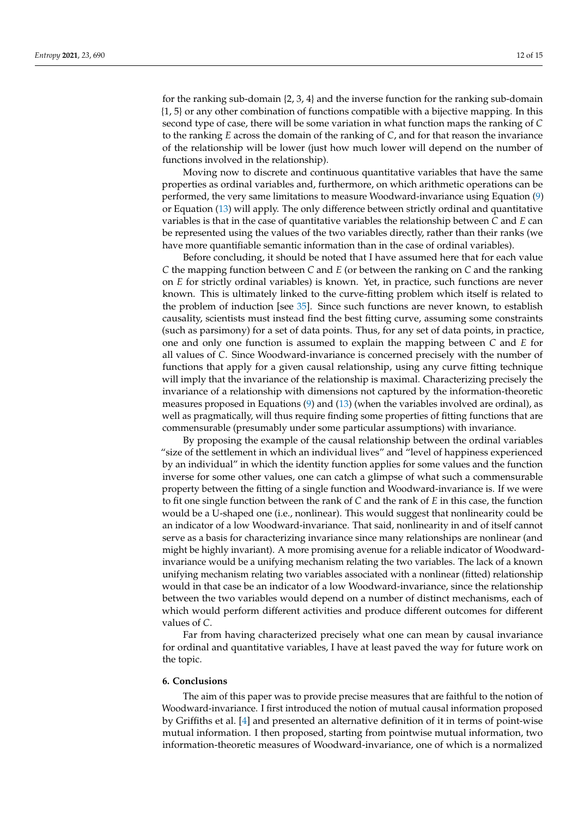for the ranking sub-domain {2, 3, 4} and the inverse function for the ranking sub-domain {1, 5} or any other combination of functions compatible with a bijective mapping. In this second type of case, there will be some variation in what function maps the ranking of *C* to the ranking *E* across the domain of the ranking of *C*, and for that reason the invariance of the relationship will be lower (just how much lower will depend on the number of functions involved in the relationship).

Moving now to discrete and continuous quantitative variables that have the same properties as ordinal variables and, furthermore, on which arithmetic operations can be performed, the very same limitations to measure Woodward-invariance using Equation [\(9\)](#page-7-1) or Equation [\(13\)](#page-8-1) will apply. The only difference between strictly ordinal and quantitative variables is that in the case of quantitative variables the relationship between *C* and *E* can be represented using the values of the two variables directly, rather than their ranks (we have more quantifiable semantic information than in the case of ordinal variables).

Before concluding, it should be noted that I have assumed here that for each value *C* the mapping function between *C* and *E* (or between the ranking on *C* and the ranking on *E* for strictly ordinal variables) is known. Yet, in practice, such functions are never known. This is ultimately linked to the curve-fitting problem which itself is related to the problem of induction [see [35\]](#page-14-21). Since such functions are never known, to establish causality, scientists must instead find the best fitting curve, assuming some constraints (such as parsimony) for a set of data points. Thus, for any set of data points, in practice, one and only one function is assumed to explain the mapping between *C* and *E* for all values of *C*. Since Woodward-invariance is concerned precisely with the number of functions that apply for a given causal relationship, using any curve fitting technique will imply that the invariance of the relationship is maximal. Characterizing precisely the invariance of a relationship with dimensions not captured by the information-theoretic measures proposed in Equations [\(9\)](#page-7-1) and [\(13\)](#page-8-1) (when the variables involved are ordinal), as well as pragmatically, will thus require finding some properties of fitting functions that are commensurable (presumably under some particular assumptions) with invariance.

By proposing the example of the causal relationship between the ordinal variables "size of the settlement in which an individual lives" and "level of happiness experienced by an individual" in which the identity function applies for some values and the function inverse for some other values, one can catch a glimpse of what such a commensurable property between the fitting of a single function and Woodward-invariance is. If we were to fit one single function between the rank of *C* and the rank of *E* in this case, the function would be a U-shaped one (i.e., nonlinear). This would suggest that nonlinearity could be an indicator of a low Woodward-invariance. That said, nonlinearity in and of itself cannot serve as a basis for characterizing invariance since many relationships are nonlinear (and might be highly invariant). A more promising avenue for a reliable indicator of Woodwardinvariance would be a unifying mechanism relating the two variables. The lack of a known unifying mechanism relating two variables associated with a nonlinear (fitted) relationship would in that case be an indicator of a low Woodward-invariance, since the relationship between the two variables would depend on a number of distinct mechanisms, each of which would perform different activities and produce different outcomes for different values of *C*.

Far from having characterized precisely what one can mean by causal invariance for ordinal and quantitative variables, I have at least paved the way for future work on the topic.

#### **6. Conclusions**

The aim of this paper was to provide precise measures that are faithful to the notion of Woodward-invariance. I first introduced the notion of mutual causal information proposed by Griffiths et al. [\[4\]](#page-13-3) and presented an alternative definition of it in terms of point-wise mutual information. I then proposed, starting from pointwise mutual information, two information-theoretic measures of Woodward-invariance, one of which is a normalized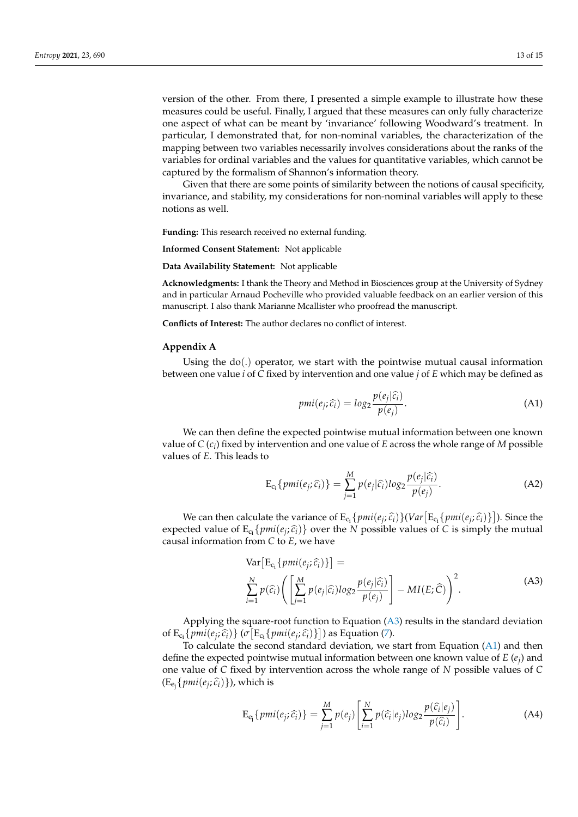version of the other. From there, I presented a simple example to illustrate how these measures could be useful. Finally, I argued that these measures can only fully characterize one aspect of what can be meant by 'invariance' following Woodward's treatment. In particular, I demonstrated that, for non-nominal variables, the characterization of the mapping between two variables necessarily involves considerations about the ranks of the variables for ordinal variables and the values for quantitative variables, which cannot be captured by the formalism of Shannon's information theory.

Given that there are some points of similarity between the notions of causal specificity, invariance, and stability, my considerations for non-nominal variables will apply to these notions as well.

**Funding:** This research received no external funding.

**Informed Consent Statement:** Not applicable

**Data Availability Statement:** Not applicable

**Acknowledgments:** I thank the Theory and Method in Biosciences group at the University of Sydney and in particular Arnaud Pocheville who provided valuable feedback on an earlier version of this manuscript. I also thank Marianne Mcallister who proofread the manuscript.

**Conflicts of Interest:** The author declares no conflict of interest.

#### <span id="page-12-0"></span>**Appendix A**

Using the  $do(.)$  operator, we start with the pointwise mutual causal information between one value *i* of *C* fixed by intervention and one value *j* of *E* which may be defined as

<span id="page-12-2"></span>
$$
pmi(e_j; \hat{c_i}) = \log_2 \frac{p(e_j|\hat{c_i})}{p(e_j)}.
$$
\n(A1)

We can then define the expected pointwise mutual information between one known value of *C* (*c<sup>i</sup>* ) fixed by intervention and one value of *E* across the whole range of *M* possible values of *E*. This leads to

$$
E_{c_i}\{pmi(e_j;\widehat{c_i})\} = \sum_{j=1}^{M} p(e_j|\widehat{c_i})log_2\frac{p(e_j|\widehat{c_i})}{p(e_j)}.
$$
 (A2)

We can then calculate the variance of  $E_{c_i} \{pmie_j; \hat{c}_i\}$  ( $Var[E_{c_i} \{pmie_j; \hat{c}_i\}]$ ). Since the expected value of  $E_{c_i}$ { $pmi$ ( $e_j$ ; $\hat{c_i}$ )} over the *N* possible values of *C* is simply the mutual caused information from *C* to *E* use have causal information from *C* to *E*, we have

$$
\operatorname{Var}\left[E_{c_i}\left\{pmi(e_j;\widehat{c}_i)\right\}\right] = \sum_{i=1}^{N} p(\widehat{c}_i) \left(\left[\sum_{j=1}^{M} p(e_j|\widehat{c}_i)log_2\frac{p(e_j|\widehat{c}_i)}{p(e_j)}\right] - MI(E;\widehat{C})\right)^2.
$$
\n(A3)

<span id="page-12-1"></span>Applying the square-root function to Equation  $(A3)$  results in the standard deviation of  $E_{c_i}$ { $pmi(e_j; \hat{c}_i)$ } ( $\sigma$ [ $E_{c_i}$ { $pmi(e_j; \hat{c}_i)$ }]) as Equation [\(7\)](#page-6-0).

To calculate the second standard deviation, we start from Equation [\(A1\)](#page-12-2) and then define the expected pointwise mutual information between one known value of *E* (*e<sup>j</sup>* ) and one value of *C* fixed by intervention across the whole range of *N* possible values of *C*  $(E_{e_j}\lbrace \textit{pmi}(e_j;\widehat{c_i})\rbrace)$ , which is

$$
E_{e_j}\{pmi(e_j;\widehat{c_i})\} = \sum_{j=1}^{M} p(e_j) \left[ \sum_{i=1}^{N} p(\widehat{c_i}|e_j) log_2 \frac{p(\widehat{c_i}|e_j)}{p(\widehat{c_i})} \right].
$$
 (A4)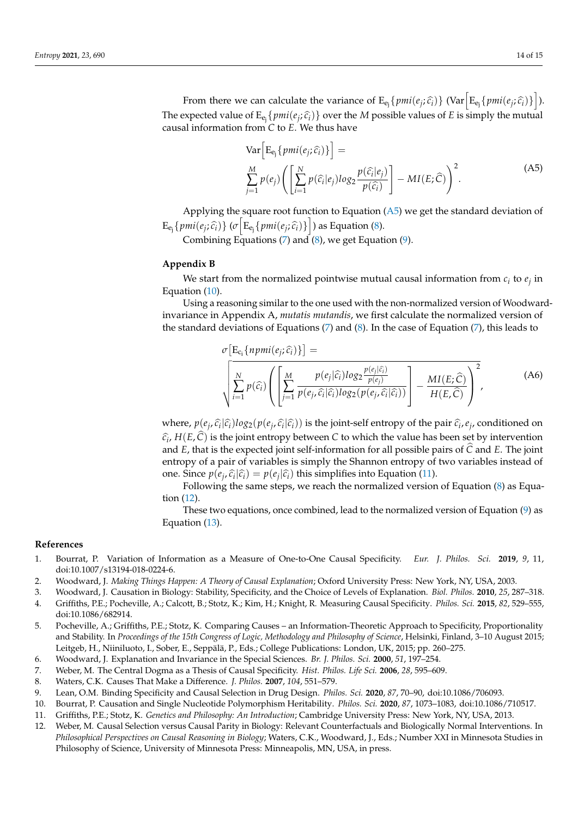From there we can calculate the variance of  $E_{e_j} \{ \text{pmi}(e_j; \hat{c}_i) \}$  (Var  $\left[ E_{e_j} \{ \text{pmi}(e_j; \hat{c}_i) \} \right]$ ). The expected value of  $E_{e_j}$  { $pmi(e_j; \hat{c}_i)$ } over the *M* possible values of *E* is simply the mutual caused information from *C* to *E*. We thus have causal information from *C* to *E*. We thus have

$$
\text{Var}\left[E_{\mathbf{e}_j}\{pmi(e_j;\hat{c}_i)\}\right] = \frac{M}{\sum_{j=1}^{M}p(e_j)\left(\left[\sum_{i=1}^{N}p(\hat{c}_i|e_j)log_2\frac{p(\hat{c}_i|e_j)}{p(\hat{c}_i)}\right] - MI(E;\hat{C})\right)^2}.
$$
\n(A5)

<span id="page-13-13"></span>Applying the square root function to Equation  $(A5)$  we get the standard deviation of  $E_{e_j} \{ \textit{pmi}(e_j; \hat{c_i}) \} \left( \sigma \left[ E_{e_j} \{ \textit{pmi}(e_j; \hat{c_i}) \} \right] \right)$  as Equation [\(8\)](#page-7-0).

Combining Equations [\(7\)](#page-6-0) and  $(8)$ , we get Equation  $(9)$ .

## <span id="page-13-12"></span>**Appendix B**

We start from the normalized pointwise mutual causal information from  $c_i$  to  $e_j$  in Equation [\(10\)](#page-7-2).

Using a reasoning similar to the one used with the non-normalized version of Woodwardinvariance in Appendix A, *mutatis mutandis*, we first calculate the normalized version of the standard deviations of Equations [\(7\)](#page-6-0) and [\(8\)](#page-7-0). In the case of Equation [\(7\)](#page-6-0), this leads to

$$
\sigma\left[\mathbf{E}_{\mathbf{c}_{i}}\{npmi(e_{j};\widehat{c}_{i})\}\right] = \sqrt{\sum_{i=1}^{N}p(\widehat{c}_{i})\left(\sum_{j=1}^{M}\frac{p(e_{j}|\widehat{c}_{i})log_{2}\frac{p(e_{j}|\widehat{c}_{i})}{p(e_{j})}}{p(e_{j},\widehat{c}_{i}|\widehat{c}_{i})log_{2}(p(e_{j},\widehat{c}_{i}|\widehat{c}_{i}))}\right)^{2}}
$$
(A6)

where,  $p(e_j, \hat{c}_i | \hat{c}_i) \log_2(p(e_j, \hat{c}_i | \hat{c}_i))$  is the joint-self entropy of the pair  $\hat{c}_i, e_j$ , conditioned on  $\hat{c}_i$ , *H*(*E*, *C*) is the joint entropy between *C* to which the value has been set by intervention<br>and *E*, that is the expected joint self information for all pescible pairs of  $\hat{C}$  and *E*. The joint and  $E$ , that is the expected joint self-information for all possible pairs of  $\hat{C}$  and  $E$ . The joint entropy of a pair of variables is simply the Shannon entropy of two variables instead of one. Since  $p(e_j, \hat{c}_i | \hat{c}_i) = p(e_j | \hat{c}_i)$  this simplifies into Equation [\(11\)](#page-7-3).

Following the same steps, we reach the normalized version of Equation [\(8\)](#page-7-0) as Equation [\(12\)](#page-8-2).

These two equations, once combined, lead to the normalized version of Equation [\(9\)](#page-7-1) as Equation [\(13\)](#page-8-1).

#### **References**

- <span id="page-13-0"></span>1. Bourrat, P. Variation of Information as a Measure of One-to-One Causal Specificity. *Eur. J. Philos. Sci.* **2019**, *9*, 11, doi[:10.1007/s13194-018-0224-6.](https://doi.org/10.1007/s13194-018-0224-6)
- <span id="page-13-1"></span>2. Woodward, J. *Making Things Happen: A Theory of Causal Explanation*; Oxford University Press: New York, NY, USA, 2003.
- <span id="page-13-3"></span><span id="page-13-2"></span>3. Woodward, J. Causation in Biology: Stability, Specificity, and the Choice of Levels of Explanation. *Biol. Philos.* **2010**, *25*, 287–318. 4. Griffiths, P.E.; Pocheville, A.; Calcott, B.; Stotz, K.; Kim, H.; Knight, R. Measuring Causal Specificity. *Philos. Sci.* **2015**, *82*, 529–555, doi[:10.1086/682914.](https://doi.org/10.1086/682914)
- <span id="page-13-4"></span>5. Pocheville, A.; Griffiths, P.E.; Stotz, K. Comparing Causes – an Information-Theoretic Approach to Specificity, Proportionality and Stability. In *Proceedings of the 15th Congress of Logic, Methodology and Philosophy of Science*, Helsinki, Finland, 3–10 August 2015; Leitgeb, H., Niiniluoto, I., Sober, E., Seppälä, P., Eds.; College Publications: London, UK, 2015; pp. 260–275.
- <span id="page-13-5"></span>6. Woodward, J. Explanation and Invariance in the Special Sciences. *Br. J. Philos. Sci.* **2000**, *51*, 197–254.
- <span id="page-13-6"></span>7. Weber, M. The Central Dogma as a Thesis of Causal Specificity. *Hist. Philos. Life Sci.* **2006**, *28*, 595–609.
- <span id="page-13-7"></span>8. Waters, C.K. Causes That Make a Difference. *J. Philos.* **2007**, *104*, 551–579.
- <span id="page-13-8"></span>9. Lean, O.M. Binding Specificity and Causal Selection in Drug Design. *Philos. Sci.* **2020**, *87*, 70–90, doi[:10.1086/706093.](https://doi.org/10.1086/706093)
- <span id="page-13-9"></span>10. Bourrat, P. Causation and Single Nucleotide Polymorphism Heritability. *Philos. Sci.* **2020**, *87*, 1073–1083, doi[:10.1086/710517.](https://doi.org/10.1086/710517)
- <span id="page-13-10"></span>11. Griffiths, P.E.; Stotz, K. *Genetics and Philosophy: An Introduction*; Cambridge University Press: New York, NY, USA, 2013.
- <span id="page-13-11"></span>12. Weber, M. Causal Selection versus Causal Parity in Biology: Relevant Counterfactuals and Biologically Normal Interventions. In *Philosophical Perspectives on Causal Reasoning in Biology*; Waters, C.K., Woodward, J., Eds.; Number XXI in Minnesota Studies in Philosophy of Science, University of Minnesota Press: Minneapolis, MN, USA, in press.